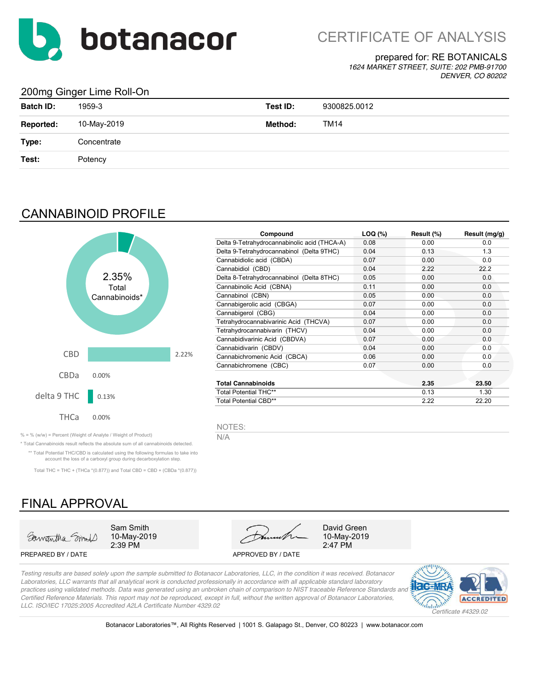

## prepared for: RE BOTANICALS

*1624 MARKET STREET, SUITE: 202 PMB-91700 DENVER, CO 80202*

## 200mg Ginger Lime Roll-On

| <b>Batch ID:</b> | 1959-3      | Test ID: | 9300825.0012 |
|------------------|-------------|----------|--------------|
| Reported:        | 10-May-2019 | Method:  | TM14         |
| Type:            | Concentrate |          |              |
| Test:            | Potency     |          |              |
|                  |             |          |              |

## CANNABINOID PROFILE



| Compound                                     | $LOQ$ $(\%)$ | Result (%) | Result (mg/g) |
|----------------------------------------------|--------------|------------|---------------|
| Delta 9-Tetrahydrocannabinolic acid (THCA-A) | 0.08         | 0.00       | 0.0           |
| Delta 9-Tetrahydrocannabinol (Delta 9THC)    | 0.04         | 0.13       | 1.3           |
| Cannabidiolic acid (CBDA)                    | 0.07         | 0.00       | 0.0           |
| Cannabidiol (CBD)                            | 0.04         | 2.22       | 22.2          |
| Delta 8-Tetrahydrocannabinol (Delta 8THC)    | 0.05         | 0.00       | 0.0           |
| Cannabinolic Acid (CBNA)                     | 0.11         | 0.00       | 0.0           |
| Cannabinol (CBN)                             | 0.05         | 0.00       | 0.0           |
| Cannabigerolic acid (CBGA)                   | 0.07         | 0.00       | 0.0           |
| Cannabigerol (CBG)                           | 0.04         | 0.00       | 0.0           |
| Tetrahydrocannabivarinic Acid (THCVA)        | 0.07         | 0.00       | 0.0           |
| Tetrahydrocannabivarin (THCV)                | 0.04         | 0.00       | 0.0           |
| Cannabidivarinic Acid (CBDVA)                | 0.07         | 0.00       | 0.0           |
| Cannabidivarin (CBDV)                        | 0.04         | 0.00       | 0.0           |
| Cannabichromenic Acid (CBCA)                 | 0.06         | 0.00       | 0.0           |
| Cannabichromene (CBC)                        | 0.07         | 0.00       | 0.0           |
| <b>Total Cannabinoids</b>                    |              | 2.35       | 23.50         |
| <b>Total Potential THC**</b>                 |              | 0.13       | 1.30          |
| Total Potential CBD**                        |              | 2.22       | 22.20         |

NOTES:

% = % (w/w) = Percent (Weight of Analyte / Weight of Product)  $N/A$ 

\* Total Cannabinoids result reflects the absolute sum of all cannabinoids detected. \*\* Total Potential THC/CBD is calculated using the following formulas to take into account the loss of a carboxyl group during decarboxylation step.

Total THC = THC + (THCa  $*(0.877)$ ) and Total CBD = CBD + (CBDa  $*(0.877)$ )

# FINAL APPROVAL



2:39 PM 10-May-2019

PREPARED BY / DATE APPROVED BY / DATE



10-May-2019

*Testing results are based solely upon the sample submitted to Botanacor Laboratories, LLC, in the condition it was received. Botanacor Laboratories, LLC warrants that all analytical work is conducted professionally in accordance with all applicable standard laboratory practices using validated methods. Data was generated using an unbroken chain of comparison to NIST traceable Reference Standards and Certified Reference Materials. This report may not be reproduced, except in full, without the written approval of Botanacor Laboratories, LLC. ISO/IEC 17025:2005 Accredited A2LA Certificate Number 4329.02*



Botanacor Laboratories™, All Rights Reserved | 1001 S. Galapago St., Denver, CO 80223 | www.botanacor.com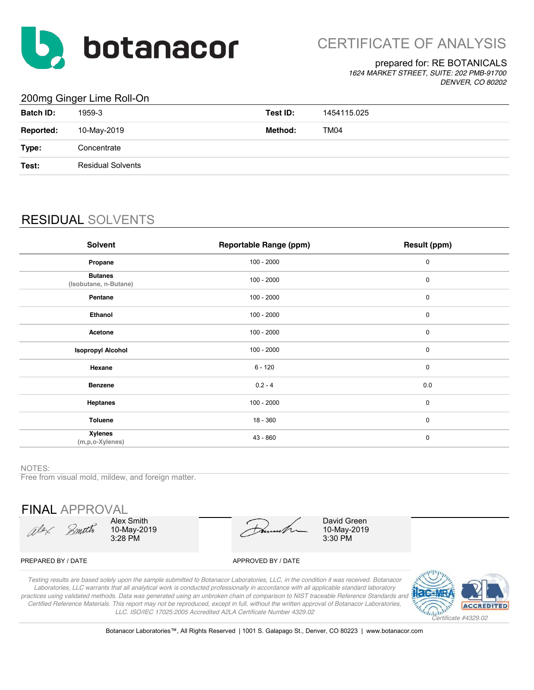

CERTIFICATE OF ANALYSIS

## prepared for: RE BOTANICALS

*1624 MARKET STREET, SUITE: 202 PMB-91700 DENVER, CO 80202*

## 200mg Ginger Lime Roll-On

| $\sim$ $\sim$ $\sim$ |                          |          |             |
|----------------------|--------------------------|----------|-------------|
| <b>Batch ID:</b>     | 1959-3                   | Test ID: | 1454115.025 |
| <b>Reported:</b>     | 10-May-2019              | Method:  | TM04        |
| Type:                | Concentrate              |          |             |
| Test:                | <b>Residual Solvents</b> |          |             |
|                      |                          |          |             |

# RESIDUAL SOLVENTS

| Solvent                                   | <b>Reportable Range (ppm)</b> | Result (ppm) |
|-------------------------------------------|-------------------------------|--------------|
| Propane                                   | $100 - 2000$                  | 0            |
| <b>Butanes</b><br>(Isobutane, n-Butane)   | $100 - 2000$                  | 0            |
| Pentane                                   | $100 - 2000$                  | 0            |
| Ethanol                                   | $100 - 2000$                  | 0            |
| Acetone                                   | $100 - 2000$                  | 0            |
| <b>Isopropyl Alcohol</b>                  | $100 - 2000$                  | 0            |
| Hexane                                    | $6 - 120$                     | $\mathbf 0$  |
| <b>Benzene</b>                            | $0.2 - 4$                     | 0.0          |
| <b>Heptanes</b>                           | $100 - 2000$                  | $\mathbf 0$  |
| <b>Toluene</b>                            | $18 - 360$                    | $\mathbf 0$  |
| <b>Xylenes</b><br>$(m, p, o$ -Xylenes $)$ | $43 - 860$                    | $\mathbf 0$  |

#### NOTES:

Free from visual mold, mildew, and foreign matter.

FINAL APPROVAL

Olex Smith

Alex Smith 10-May-2019 3:28 PM

10-May-2019 3:30 PM David Green

### PREPARED BY / DATE APPROVED BY / DATE

*Testing results are based solely upon the sample submitted to Botanacor Laboratories, LLC, in the condition it was received. Botanacor Laboratories, LLC warrants that all analytical work is conducted professionally in accordance with all applicable standard laboratory practices using validated methods. Data was generated using an unbroken chain of comparison to NIST traceable Reference Standards and Certified Reference Materials. This report may not be reproduced, except in full, without the written approval of Botanacor Laboratories, LLC. ISO/IEC 17025:2005 Accredited A2LA Certificate Number 4329.02*



Botanacor Laboratories™, All Rights Reserved | 1001 S. Galapago St., Denver, CO 80223 | www.botanacor.com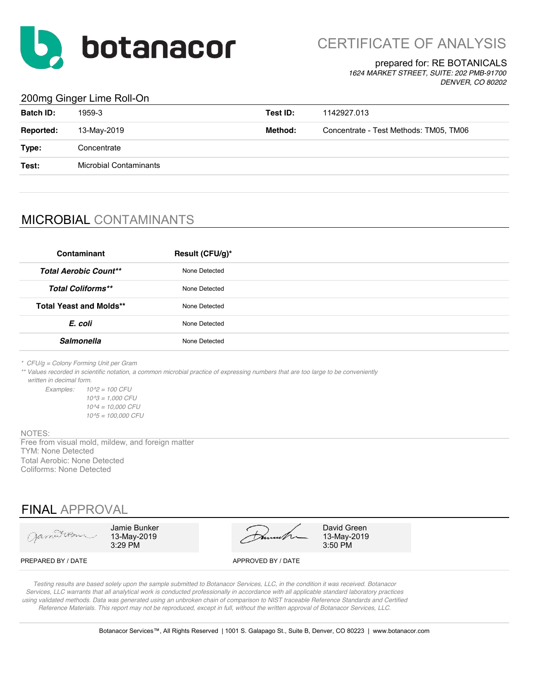

CERTIFICATE OF ANALYSIS

## prepared for: RE BOTANICALS

*1624 MARKET STREET, SUITE: 202 PMB-91700 DENVER, CO 80202*

## 200mg Ginger Lime Roll-On

| <b>Batch ID:</b> | 1959-3                        | Test ID: | 1142927.013                            |
|------------------|-------------------------------|----------|----------------------------------------|
| <b>Reported:</b> | 13-May-2019                   | Method:  | Concentrate - Test Methods: TM05, TM06 |
| Type:            | Concentrate                   |          |                                        |
| Test:            | <b>Microbial Contaminants</b> |          |                                        |
|                  |                               |          |                                        |

## MICROBIAL CONTAMINANTS

| Contaminant                    | Result (CFU/g)* |
|--------------------------------|-----------------|
| <b>Total Aerobic Count**</b>   | None Detected   |
| <b>Total Coliforms**</b>       | None Detected   |
| <b>Total Yeast and Molds**</b> | None Detected   |
| E. coli                        | None Detected   |
| <b>Salmonella</b>              | None Detected   |

*\* CFU/g = Colony Forming Unit per Gram*

*\*\* Values recorded in scientific notation, a common microbial practice of expressing numbers that are too large to be conveniently written in decimal form.*

*Examples: 10^2 = 100 CFU 10^3 = 1,000 CFU 10^4 = 10,000 CFU 10^5 = 100,000 CFU*

#### NOTES:

TYM: None Detected Total Aerobic: None Detected Coliforms: None Detected Free from visual mold, mildew, and foreign matter

## FINAL APPROVAL

| Jameson            | Jamie Bunker<br>13-May-2019<br>$3:29$ PM | Dunnette           | David Green<br>13-May-2019<br>3:50 PM |
|--------------------|------------------------------------------|--------------------|---------------------------------------|
| PREPARED BY / DATE |                                          | APPROVED BY / DATE |                                       |

*Testing results are based solely upon the sample submitted to Botanacor Services, LLC, in the condition it was received. Botanacor Services, LLC warrants that all analytical work is conducted professionally in accordance with all applicable standard laboratory practices using validated methods. Data was generated using an unbroken chain of comparison to NIST traceable Reference Standards and Certified Reference Materials. This report may not be reproduced, except in full, without the written approval of Botanacor Services, LLC.*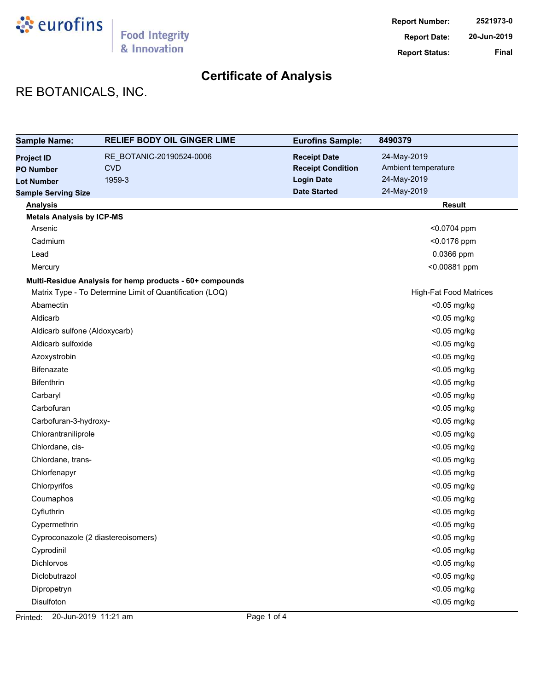

# **Certificate of Analysis**

# RE BOTANICALS, INC.

| <b>Sample Name:</b>              | <b>RELIEF BODY OIL GINGER LIME</b>                       | <b>Eurofins Sample:</b>  | 8490379                       |
|----------------------------------|----------------------------------------------------------|--------------------------|-------------------------------|
| <b>Project ID</b>                | RE_BOTANIC-20190524-0006                                 | <b>Receipt Date</b>      | 24-May-2019                   |
| <b>PO Number</b>                 | <b>CVD</b>                                               | <b>Receipt Condition</b> | Ambient temperature           |
| <b>Lot Number</b>                | 1959-3                                                   | <b>Login Date</b>        | 24-May-2019                   |
| <b>Sample Serving Size</b>       |                                                          | <b>Date Started</b>      | 24-May-2019                   |
| <b>Analysis</b>                  |                                                          |                          | <b>Result</b>                 |
| <b>Metals Analysis by ICP-MS</b> |                                                          |                          |                               |
| Arsenic                          |                                                          |                          | <0.0704 ppm                   |
| Cadmium                          |                                                          |                          | <0.0176 ppm                   |
| Lead                             |                                                          |                          | 0.0366 ppm                    |
| Mercury                          |                                                          |                          | <0.00881 ppm                  |
|                                  | Multi-Residue Analysis for hemp products - 60+ compounds |                          |                               |
|                                  | Matrix Type - To Determine Limit of Quantification (LOQ) |                          | <b>High-Fat Food Matrices</b> |
| Abamectin                        |                                                          |                          | <0.05 mg/kg                   |
| Aldicarb                         |                                                          |                          | $<$ 0.05 mg/kg                |
| Aldicarb sulfone (Aldoxycarb)    |                                                          |                          | <0.05 mg/kg                   |
| Aldicarb sulfoxide               |                                                          |                          | <0.05 mg/kg                   |
| Azoxystrobin                     |                                                          |                          | <0.05 mg/kg                   |
| <b>Bifenazate</b>                |                                                          |                          | <0.05 mg/kg                   |
| <b>Bifenthrin</b>                |                                                          |                          | <0.05 mg/kg                   |
| Carbaryl                         |                                                          |                          | <0.05 mg/kg                   |
| Carbofuran                       |                                                          |                          | <0.05 mg/kg                   |
| Carbofuran-3-hydroxy-            |                                                          |                          | <0.05 mg/kg                   |
| Chlorantraniliprole              |                                                          |                          | <0.05 mg/kg                   |
| Chlordane, cis-                  |                                                          |                          | <0.05 mg/kg                   |
| Chlordane, trans-                |                                                          |                          | <0.05 mg/kg                   |
| Chlorfenapyr                     |                                                          |                          | <0.05 mg/kg                   |
| Chlorpyrifos                     |                                                          |                          | <0.05 mg/kg                   |
| Coumaphos                        |                                                          |                          | <0.05 mg/kg                   |
| Cyfluthrin                       |                                                          |                          | <0.05 mg/kg                   |
| Cypermethrin                     |                                                          |                          | <0.05 mg/kg                   |
|                                  | Cyproconazole (2 diastereoisomers)                       |                          | <0.05 mg/kg                   |
| Cyprodinil                       |                                                          |                          | <0.05 mg/kg                   |
| Dichlorvos                       |                                                          |                          | <0.05 mg/kg                   |
| Diclobutrazol                    |                                                          |                          | <0.05 mg/kg                   |
| Dipropetryn                      |                                                          |                          | <0.05 mg/kg                   |
| Disulfoton                       |                                                          |                          | <0.05 mg/kg                   |

Printed: 20-Jun-2019 11:21 am Page 1 of 4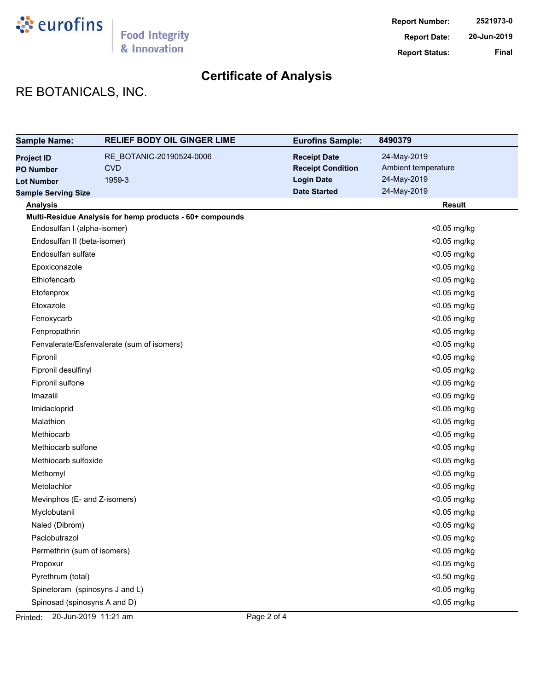

# **Certificate of Analysis**

# RE BOTANICALS, INC.

| <b>Sample Name:</b>            | <b>RELIEF BODY OIL GINGER LIME</b>                       | <b>Eurofins Sample:</b>  | 8490379             |
|--------------------------------|----------------------------------------------------------|--------------------------|---------------------|
| <b>Project ID</b>              | RE_BOTANIC-20190524-0006                                 | <b>Receipt Date</b>      | 24-May-2019         |
| <b>PO Number</b>               | <b>CVD</b>                                               | <b>Receipt Condition</b> | Ambient temperature |
| <b>Lot Number</b>              | 1959-3                                                   | <b>Login Date</b>        | 24-May-2019         |
| <b>Sample Serving Size</b>     |                                                          | <b>Date Started</b>      | 24-May-2019         |
| <b>Analysis</b>                |                                                          |                          | <b>Result</b>       |
|                                | Multi-Residue Analysis for hemp products - 60+ compounds |                          |                     |
| Endosulfan I (alpha-isomer)    |                                                          |                          | $<$ 0.05 mg/kg      |
| Endosulfan II (beta-isomer)    |                                                          |                          | <0.05 mg/kg         |
| Endosulfan sulfate             |                                                          |                          | <0.05 mg/kg         |
| Epoxiconazole                  |                                                          |                          | <0.05 mg/kg         |
| Ethiofencarb                   |                                                          |                          | <0.05 mg/kg         |
| Etofenprox                     |                                                          |                          | <0.05 mg/kg         |
| Etoxazole                      |                                                          |                          | <0.05 mg/kg         |
| Fenoxycarb                     |                                                          |                          | <0.05 mg/kg         |
| Fenpropathrin                  |                                                          |                          | <0.05 mg/kg         |
|                                | Fenvalerate/Esfenvalerate (sum of isomers)               |                          | <0.05 mg/kg         |
| Fipronil                       |                                                          |                          | <0.05 mg/kg         |
| Fipronil desulfinyl            |                                                          |                          | <0.05 mg/kg         |
| Fipronil sulfone               |                                                          |                          | <0.05 mg/kg         |
| Imazalil                       |                                                          |                          | <0.05 mg/kg         |
| Imidacloprid                   |                                                          |                          | <0.05 mg/kg         |
| Malathion                      |                                                          |                          | <0.05 mg/kg         |
| Methiocarb                     |                                                          |                          | <0.05 mg/kg         |
| Methiocarb sulfone             |                                                          |                          | <0.05 mg/kg         |
| Methiocarb sulfoxide           |                                                          |                          | <0.05 mg/kg         |
| Methomyl                       |                                                          |                          | <0.05 mg/kg         |
| Metolachlor                    |                                                          |                          | <0.05 mg/kg         |
| Mevinphos (E- and Z-isomers)   |                                                          |                          | <0.05 mg/kg         |
| Myclobutanil                   |                                                          |                          | <0.05 mg/kg         |
| Naled (Dibrom)                 |                                                          |                          | <0.05 mg/kg         |
| Paclobutrazol                  |                                                          |                          | <0.05 mg/kg         |
| Permethrin (sum of isomers)    |                                                          |                          | <0.05 mg/kg         |
| Propoxur                       |                                                          |                          | <0.05 mg/kg         |
| Pyrethrum (total)              |                                                          |                          | <0.50 mg/kg         |
| Spinetoram (spinosyns J and L) |                                                          |                          | <0.05 mg/kg         |
| Spinosad (spinosyns A and D)   |                                                          |                          | <0.05 mg/kg         |

Printed: 20-Jun-2019 11:21 am Page 2 of 4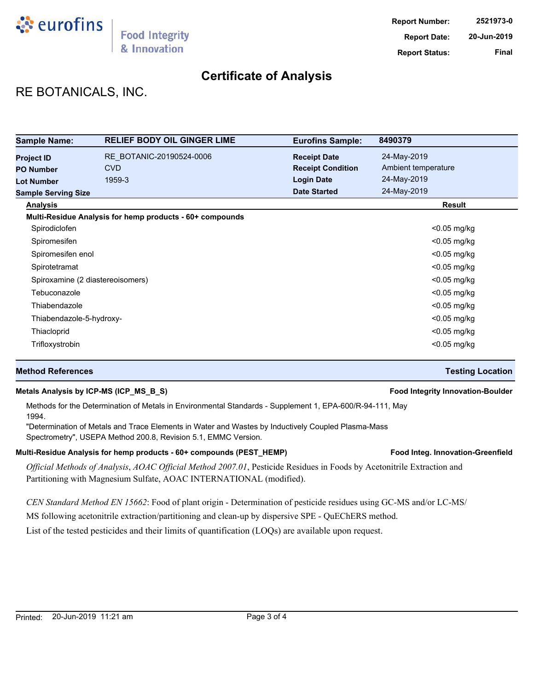

# **Certificate of Analysis**

# RE BOTANICALS, INC.

| <b>Sample Name:</b>                   | <b>RELIEF BODY OIL GINGER LIME</b>                       | <b>Eurofins Sample:</b>                         | 8490379                            |
|---------------------------------------|----------------------------------------------------------|-------------------------------------------------|------------------------------------|
| <b>Project ID</b><br><b>PO Number</b> | RE BOTANIC-20190524-0006<br><b>CVD</b>                   | <b>Receipt Date</b><br><b>Receipt Condition</b> | 24-May-2019<br>Ambient temperature |
| <b>Lot Number</b>                     | 1959-3                                                   | <b>Login Date</b>                               | 24-May-2019                        |
| <b>Sample Serving Size</b>            |                                                          | <b>Date Started</b>                             | 24-May-2019                        |
| <b>Analysis</b>                       |                                                          |                                                 | Result                             |
|                                       | Multi-Residue Analysis for hemp products - 60+ compounds |                                                 |                                    |
| Spirodiclofen                         |                                                          |                                                 | $<$ 0.05 mg/kg                     |
| Spiromesifen                          |                                                          |                                                 | $<$ 0.05 mg/kg                     |
| Spiromesifen enol                     |                                                          |                                                 | $<$ 0.05 mg/kg                     |
| Spirotetramat                         |                                                          |                                                 | $<$ 0.05 mg/kg                     |
|                                       | Spiroxamine (2 diastereoisomers)                         |                                                 | $<$ 0.05 mg/kg                     |
| Tebuconazole                          |                                                          |                                                 | $<$ 0.05 mg/kg                     |
| Thiabendazole                         |                                                          |                                                 | $<$ 0.05 mg/kg                     |
| Thiabendazole-5-hydroxy-              |                                                          |                                                 | $<$ 0.05 mg/kg                     |
| Thiacloprid                           |                                                          |                                                 | $<$ 0.05 mg/kg                     |
| Trifloxystrobin                       |                                                          |                                                 | $<$ 0.05 mg/kg                     |

## **Method References Testing Location**

## **Metals Analysis by ICP-MS (ICP\_MS\_B\_S) Food Integrity Innovation-Boulder**

Methods for the Determination of Metals in Environmental Standards - Supplement 1, EPA-600/R-94-111, May 1994.

"Determination of Metals and Trace Elements in Water and Wastes by Inductively Coupled Plasma-Mass Spectrometry", USEPA Method 200.8, Revision 5.1, EMMC Version.

## Multi-Residue Analysis for hemp products - 60+ compounds (PEST\_HEMP) **Food Integ. Innovation-Greenfield**

*Official Methods of Analysis*, *AOAC Official Method 2007.01*, Pesticide Residues in Foods by Acetonitrile Extraction and Partitioning with Magnesium Sulfate, AOAC INTERNATIONAL (modified).

*CEN Standard Method EN 15662*: Food of plant origin - Determination of pesticide residues using GC-MS and/or LC-MS/

MS following acetonitrile extraction/partitioning and clean-up by dispersive SPE - QuEChERS method.

List of the tested pesticides and their limits of quantification (LOQs) are available upon request.

### Printed: 20-Jun-2019 11:21 am example 20 and the Page 3 of 4